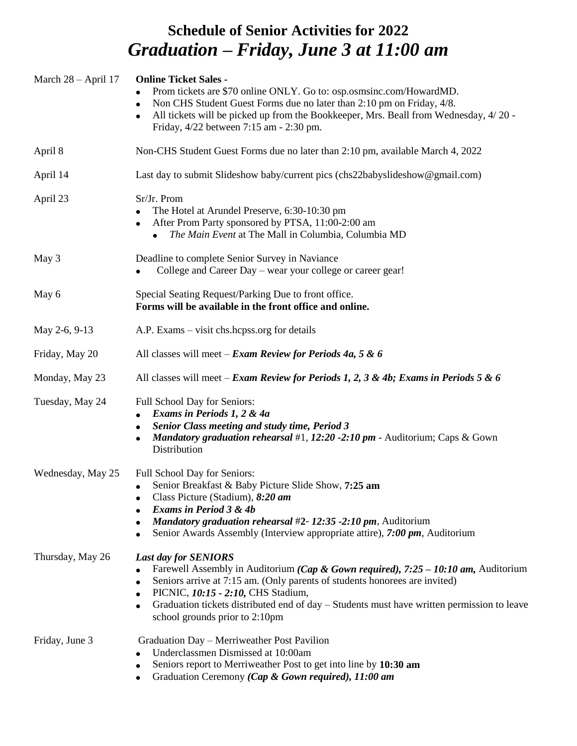# **Schedule of Senior Activities for 2022** *Graduation – Friday, June 3 at 11:00 am*

| March $28 - April 17$ | <b>Online Ticket Sales -</b><br>Prom tickets are \$70 online ONLY. Go to: osp.osmsinc.com/HowardMD.<br>Non CHS Student Guest Forms due no later than 2:10 pm on Friday, 4/8.<br>All tickets will be picked up from the Bookkeeper, Mrs. Beall from Wednesday, 4/20 -<br>Friday, 4/22 between 7:15 am - 2:30 pm.                                                                                              |
|-----------------------|--------------------------------------------------------------------------------------------------------------------------------------------------------------------------------------------------------------------------------------------------------------------------------------------------------------------------------------------------------------------------------------------------------------|
| April 8               | Non-CHS Student Guest Forms due no later than 2:10 pm, available March 4, 2022                                                                                                                                                                                                                                                                                                                               |
| April 14              | Last day to submit Slideshow baby/current pics (chs22babyslideshow@gmail.com)                                                                                                                                                                                                                                                                                                                                |
| April 23              | Sr/Jr. Prom<br>The Hotel at Arundel Preserve, 6:30-10:30 pm<br>After Prom Party sponsored by PTSA, 11:00-2:00 am<br>The Main Event at The Mall in Columbia, Columbia MD<br>$\bullet$                                                                                                                                                                                                                         |
| May 3                 | Deadline to complete Senior Survey in Naviance<br>College and Career Day - wear your college or career gear!<br>$\bullet$                                                                                                                                                                                                                                                                                    |
| May 6                 | Special Seating Request/Parking Due to front office.<br>Forms will be available in the front office and online.                                                                                                                                                                                                                                                                                              |
| May 2-6, 9-13         | A.P. Exams – visit chs.hcpss.org for details                                                                                                                                                                                                                                                                                                                                                                 |
| Friday, May 20        | All classes will meet - Exam Review for Periods 4a, 5 & 6                                                                                                                                                                                                                                                                                                                                                    |
| Monday, May 23        | All classes will meet – Exam Review for Periods 1, 2, 3 & 4b; Exams in Periods 5 & 6                                                                                                                                                                                                                                                                                                                         |
| Tuesday, May 24       | Full School Day for Seniors:<br>Exams in Periods 1, 2 & 4a<br><b>Senior Class meeting and study time, Period 3</b><br>Mandatory graduation rehearsal #1, 12:20 -2:10 pm - Auditorium; Caps & Gown<br>Distribution                                                                                                                                                                                            |
| Wednesday, May 25     | Full School Day for Seniors:<br>Senior Breakfast & Baby Picture Slide Show, 7:25 am<br>$\bullet$<br>Class Picture (Stadium), 8:20 am<br><b>Exams in Period 3 &amp; 4b</b><br><i>Mandatory graduation rehearsal</i> #2-12:35 -2:10 pm, Auditorium<br>Senior Awards Assembly (Interview appropriate attire), 7:00 pm, Auditorium                                                                               |
| Thursday, May 26      | <b>Last day for SENIORS</b><br>Farewell Assembly in Auditorium ( <i>Cap &amp; Gown required</i> ), 7:25 – 10:10 am, Auditorium<br>Seniors arrive at 7:15 am. (Only parents of students honorees are invited)<br>$\bullet$<br>PICNIC, 10:15 - 2:10, CHS Stadium,<br>Graduation tickets distributed end of day – Students must have written permission to leave<br>$\bullet$<br>school grounds prior to 2:10pm |
| Friday, June 3        | Graduation Day - Merriweather Post Pavilion<br>Underclassmen Dismissed at 10:00am<br>Seniors report to Merriweather Post to get into line by 10:30 am<br>Graduation Ceremony (Cap & Gown required), 11:00 am                                                                                                                                                                                                 |